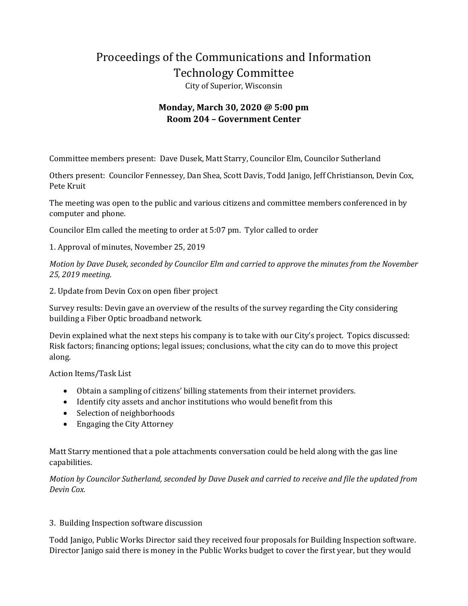## Proceedings of the Communications and Information Technology Committee

City of Superior, Wisconsin

## **Monday, March 30, 2020 @ 5:00 pm Room 204 – Government Center**

Committee members present: Dave Dusek, Matt Starry, Councilor Elm, Councilor Sutherland

Others present: Councilor Fennessey, Dan Shea, Scott Davis, Todd Janigo, Jeff Christianson, Devin Cox, Pete Kruit

The meeting was open to the public and various citizens and committee members conferenced in by computer and phone.

Councilor Elm called the meeting to order at 5:07 pm. Tylor called to order

1. Approval of minutes, November 25, 2019

*Motion by Dave Dusek, seconded by Councilor Elm and carried to approve the minutes from the November 25, 2019 meeting.* 

2. Update from Devin Cox on open fiber project

Survey results: Devin gave an overview of the results of the survey regarding the City considering building a Fiber Optic broadband network.

Devin explained what the next steps his company is to take with our City's project. Topics discussed: Risk factors; financing options; legal issues; conclusions, what the city can do to move this project along.

Action Items/Task List

- Obtain a sampling of citizens' billing statements from their internet providers.
- Identify city assets and anchor institutions who would benefit from this
- Selection of neighborhoods
- Engaging the City Attorney

Matt Starry mentioned that a pole attachments conversation could be held along with the gas line capabilities.

*Motion by Councilor Sutherland, seconded by Dave Dusek and carried to receive and file the updated from Devin Cox.* 

## 3. Building Inspection software discussion

Todd Janigo, Public Works Director said they received four proposals for Building Inspection software. Director Janigo said there is money in the Public Works budget to cover the first year, but they would